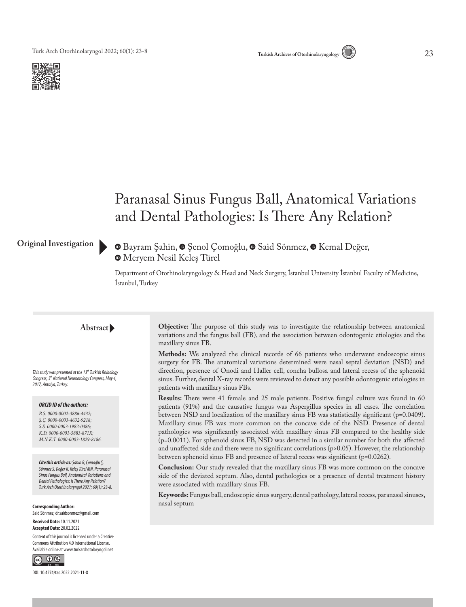



# Paranasal Sinus Fungus Ball, Anatomical Variations and Dental Pathologies: Is There Any Relation?

### **Original Investigation**

 $\bullet$ **Bayram Şahin,**  $\bullet$  **Şenol Çomoğlu,**  $\bullet$  **Said Sönmez,**  $\bullet$  **Kemal Değer,** Meryem Nesil Keleş Türel

Department of Otorhinolaryngology & Head and Neck Surgery, İstanbul University İstanbul Faculty of Medicine, İstanbul, Turkey

#### **Abstract**

*This study was presented at the 13th Turkish Rhinology Congress, 5th National Neurootology Congress, May 4, 2017, Antalya, Turkey.*

#### *ORCID ID of the authors:*

*B.Ş. 0000-0002-3886-4432; Ş.Ç. 0000-0003-4632-9218; S.S. 0000-0003-1982-0386; K.D. 0000-0001-5883-871X; M.N.K.T. 0000-0003-1829-8186.*

*Cite this article as: Şahin B, Çomoğlu Ş, Sönmez S, Değer K, Keleş Türel MN. Paranasal Sinus Fungus Ball, Anatomical Variations and Dental Pathologies: Is There Any Relation? Turk Arch Otorhinolaryngol 2021; 60(1): 23-8.*

**Corresponding Author:**  Said Sönmez; dr.saidsonmez@gmail.com

**Received Date:** 10.11.2021 **Accepted Date:** 20.02.2022 Content of this journal is licensed under a Creative Commons Attribution 4.0 International License.

Available online at www.turkarchotolaryngol.net  $\circledcirc$   $\circledcirc$ 

DOI: 10.4274/tao.2022.2021-11-8

**Objective:** The purpose of this study was to investigate the relationship between anatomical variations and the fungus ball (FB), and the association between odontogenic etiologies and the maxillary sinus FB.

**Methods:** We analyzed the clinical records of 66 patients who underwent endoscopic sinus surgery for FB. The anatomical variations determined were nasal septal deviation (NSD) and direction, presence of Onodi and Haller cell, concha bullosa and lateral recess of the sphenoid sinus. Further, dental X-ray records were reviewed to detect any possible odontogenic etiologies in patients with maxillary sinus FBs.

**Results:** There were 41 female and 25 male patients. Positive fungal culture was found in 60 patients (91%) and the causative fungus was Aspergillus species in all cases. The correlation between NSD and localization of the maxillary sinus FB was statistically significant (p=0.0409). Maxillary sinus FB was more common on the concave side of the NSD. Presence of dental pathologies was significantly associated with maxillary sinus FB compared to the healthy side (p=0.0011). For sphenoid sinus FB, NSD was detected in a similar number for both the affected and unaffected side and there were no significant correlations (p>0.05). However, the relationship between sphenoid sinus FB and presence of lateral recess was significant (p=0.0262).

**Conclusion:** Our study revealed that the maxillary sinus FB was more common on the concave side of the deviated septum. Also, dental pathologies or a presence of dental treatment history were associated with maxillary sinus FB.

**Keywords:** Fungus ball, endoscopic sinus surgery, dental pathology, lateral recess, paranasal sinuses, nasal septum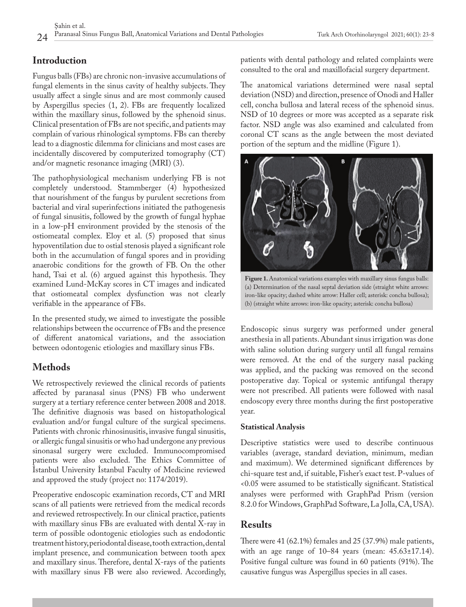# **Introduction**

Fungus balls (FBs) are chronic non-invasive accumulations of fungal elements in the sinus cavity of healthy subjects. They usually affect a single sinus and are most commonly caused by Aspergillus species (1, 2). FBs are frequently localized within the maxillary sinus, followed by the sphenoid sinus. Clinical presentation of FBs are not specific, and patients may complain of various rhinological symptoms. FBs can thereby lead to a diagnostic dilemma for clinicians and most cases are incidentally discovered by computerized tomography (CT) and/or magnetic resonance imaging (MRI) (3).

The pathophysiological mechanism underlying FB is not completely understood. Stammberger (4) hypothesized that nourishment of the fungus by purulent secretions from bacterial and viral superinfections initiated the pathogenesis of fungal sinusitis, followed by the growth of fungal hyphae in a low-pH environment provided by the stenosis of the ostiomeatal complex. Eloy et al. (5) proposed that sinus hypoventilation due to ostial stenosis played a significant role both in the accumulation of fungal spores and in providing anaerobic conditions for the growth of FB. On the other hand, Tsai et al. (6) argued against this hypothesis. They examined Lund-McKay scores in CT images and indicated that ostiomeatal complex dysfunction was not clearly verifiable in the appearance of FBs.

In the presented study, we aimed to investigate the possible relationships between the occurrence of FBs and the presence of different anatomical variations, and the association between odontogenic etiologies and maxillary sinus FBs.

# **Methods**

We retrospectively reviewed the clinical records of patients affected by paranasal sinus (PNS) FB who underwent surgery at a tertiary reference center between 2008 and 2018. The definitive diagnosis was based on histopathological evaluation and/or fungal culture of the surgical specimens. Patients with chronic rhinosinusitis, invasive fungal sinusitis, or allergic fungal sinusitis or who had undergone any previous sinonasal surgery were excluded. Immunocompromised patients were also excluded. The Ethics Committee of İstanbul University İstanbul Faculty of Medicine reviewed and approved the study (project no: 1174/2019).

Preoperative endoscopic examination records, CT and MRI scans of all patients were retrieved from the medical records and reviewed retrospectively. In our clinical practice, patients with maxillary sinus FBs are evaluated with dental X-ray in term of possible odontogenic etiologies such as endodontic treatment history, periodontal disease, tooth extraction, dental implant presence, and communication between tooth apex and maxillary sinus. Therefore, dental X-rays of the patients with maxillary sinus FB were also reviewed. Accordingly,

patients with dental pathology and related complaints were consulted to the oral and maxillofacial surgery department.

The anatomical variations determined were nasal septal deviation (NSD) and direction, presence of Onodi and Haller cell, concha bullosa and lateral recess of the sphenoid sinus. NSD of 10 degrees or more was accepted as a separate risk factor. NSD angle was also examined and calculated from coronal CT scans as the angle between the most deviated portion of the septum and the midline (Figure 1).



**Figure 1.** Anatomical variations examples with maxillary sinus fungus balls: (a) Determination of the nasal septal deviation side (straight white arrows: iron-like opacity; dashed white arrow: Haller cell; asterisk: concha bullosa); (b) (straight white arrows: iron-like opacity; asterisk: concha bullosa)

Endoscopic sinus surgery was performed under general anesthesia in all patients. Abundant sinus irrigation was done with saline solution during surgery until all fungal remains were removed. At the end of the surgery nasal packing was applied, and the packing was removed on the second postoperative day. Topical or systemic antifungal therapy were not prescribed. All patients were followed with nasal endoscopy every three months during the first postoperative year.

### **Statistical Analysis**

Descriptive statistics were used to describe continuous variables (average, standard deviation, minimum, median and maximum). We determined significant differences by chi-square test and, if suitable, Fisher's exact test. P-values of <0.05 were assumed to be statistically significant. Statistical analyses were performed with GraphPad Prism (version 8.2.0 for Windows, GraphPad Software, La Jolla, CA, USA).

# **Results**

There were 41 (62.1%) females and 25 (37.9%) male patients, with an age range of  $10-84$  years (mean:  $45.63\pm17.14$ ). Positive fungal culture was found in 60 patients (91%). The causative fungus was Aspergillus species in all cases.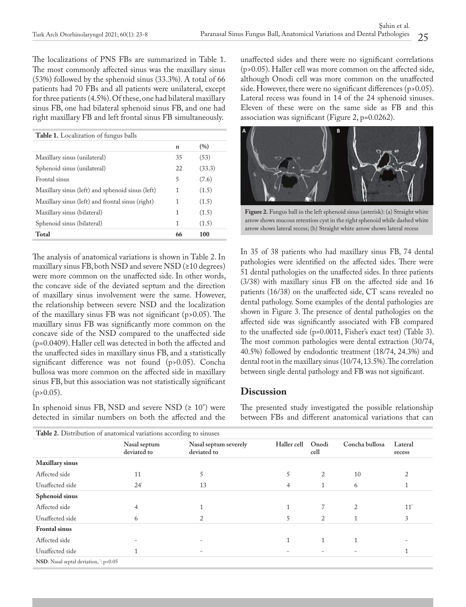The localizations of PNS FBs are summarized in Table 1. The most commonly affected sinus was the maxillary sinus (53%) followed by the sphenoid sinus (33.3%). A total of 66 patients had 70 FBs and all patients were unilateral, except for three patients (4.5%). Of these, one had bilateral maxillary sinus FB, one had bilateral sphenoid sinus FB, and one had right maxillary FB and left frontal sinus FB simultaneously.

| <b>Table 1.</b> Localization of fungus balls     |    |        |  |  |  |  |  |
|--------------------------------------------------|----|--------|--|--|--|--|--|
|                                                  | n  | (%)    |  |  |  |  |  |
| Maxillary sinus (unilateral)                     | 35 | (53)   |  |  |  |  |  |
| Sphenoid sinus (unilateral)                      | 22 | (33.3) |  |  |  |  |  |
| Frontal sinus                                    | 5  | (7.6)  |  |  |  |  |  |
| Maxillary sinus (left) and sphenoid sinus (left) | 1  | (1.5)  |  |  |  |  |  |
| Maxillary sinus (left) and frontal sinus (right) | 1  | (1.5)  |  |  |  |  |  |
| Maxillary sinus (bilateral)                      | 1  | (1.5)  |  |  |  |  |  |
| Sphenoid sinus (bilateral)                       | 1  | (1.5)  |  |  |  |  |  |
| <b>Total</b>                                     | 66 | 100    |  |  |  |  |  |

The analysis of anatomical variations is shown in Table 2. In maxillary sinus FB, both NSD and severe NSD (≥10 degrees) were more common on the unaffected side. In other words, the concave side of the deviated septum and the direction of maxillary sinus involvement were the same. However, the relationship between severe NSD and the localization of the maxillary sinus FB was not significant (p>0.05). The maxillary sinus FB was significantly more common on the concave side of the NSD compared to the unaffected side (p=0.0409). Haller cell was detected in both the affected and the unaffected sides in maxillary sinus FB, and a statistically significant difference was not found (p>0.05). Concha bullosa was more common on the affected side in maxillary sinus FB, but this association was not statistically significant  $(p>0.05)$ .

In sphenoid sinus FB, NSD and severe NSD  $(≥ 10^{\circ})$  were detected in similar numbers on both the affected and the

unaffected sides and there were no significant correlations (p>0.05). Haller cell was more common on the affected side, although Onodi cell was more common on the unaffected side. However, there were no significant differences (p>0.05). Lateral recess was found in 14 of the 24 sphenoid sinuses. Eleven of these were on the same side as FB and this association was significant (Figure 2, p=0.0262).



**Figure 2.** Fungus ball in the left sphenoid sinus (asterisk): (a) Straight white arrow shows mucous retention cyst in the right sphenoid while dashed white arrow shows lateral recess; (b) Straight white arrow shows lateral recess

In 35 of 38 patients who had maxillary sinus FB, 74 dental pathologies were identified on the affected sides. There were 51 dental pathologies on the unaffected sides. In three patients (3/38) with maxillary sinus FB on the affected side and 16 patients (16/38) on the unaffected side, CT scans revealed no dental pathology. Some examples of the dental pathologies are shown in Figure 3. The presence of dental pathologies on the affected side was significantly associated with FB compared to the unaffected side (p=0.0011, Fisher's exact test) (Table 3). The most common pathologies were dental extraction (30/74, 40.5%) followed by endodontic treatment (18/74, 24.3%) and dental root in the maxillary sinus (10/74, 13.5%). The correlation between single dental pathology and FB was not significant.

# **Discussion**

The presented study investigated the possible relationship between FBs and different anatomical variations that can

| <b>Table 2.</b> Distribution of anatomical variations according to sinuses |                             |                                      |             |               |                |                   |  |  |
|----------------------------------------------------------------------------|-----------------------------|--------------------------------------|-------------|---------------|----------------|-------------------|--|--|
|                                                                            | Nasal septum<br>deviated to | Nasal septum severely<br>deviated to | Haller cell | Onodi<br>cell | Concha bullosa | Lateral<br>recess |  |  |
| <b>Maxillary sinus</b>                                                     |                             |                                      |             |               |                |                   |  |  |
| Affected side                                                              | 11                          | C.                                   | 5           | 2             | 10             |                   |  |  |
| Unaffected side                                                            | $24^\circ$                  | 13                                   | 4           |               | 6              |                   |  |  |
| Sphenoid sinus                                                             |                             |                                      |             |               |                |                   |  |  |
| Affected side                                                              | 4                           |                                      |             |               | 2              | $11^*$            |  |  |
| Unaffected side                                                            | <sub>b</sub>                |                                      | 5           | 2             |                | 3                 |  |  |
| <b>Frontal</b> sinus                                                       |                             |                                      |             |               |                |                   |  |  |
| Affected side                                                              |                             |                                      |             |               |                |                   |  |  |
| Unaffected side                                                            |                             |                                      |             |               |                |                   |  |  |
| NSD: Nasal septal deviation, : p<0.05                                      |                             |                                      |             |               |                |                   |  |  |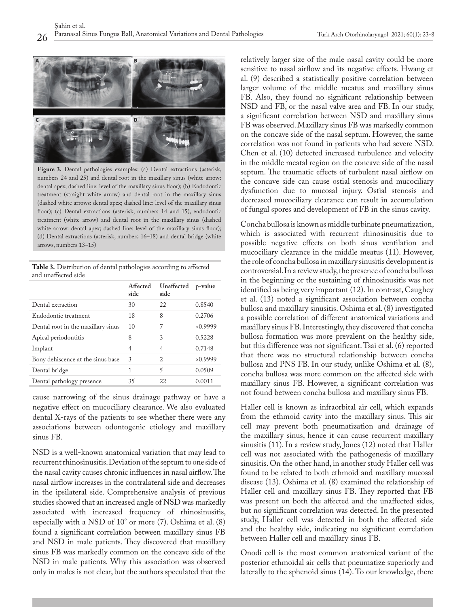

**Figure 3.** Dental pathologies examples: (a) Dental extractions (asterisk, numbers 24 and 25) and dental root in the maxillary sinus (white arrow: dental apex; dashed line: level of the maxillary sinus floor); (b) Endodontic treatment (straight white arrow) and dental root in the maxillary sinus (dashed white arrows: dental apex; dashed line: level of the maxillary sinus floor); (c) Dental extractions (asterisk, numbers 14 and 15), endodontic treatment (white arrow) and dental root in the maxillary sinus (dashed white arrow: dental apex; dashed line: level of the maxillary sinus floor); (d) Dental extractions (asterisk, numbers 16–18) and dental bridge (white arrows, numbers 13–15)

**Table 3.** Distribution of dental pathologies according to affected and unaffected side

|                                    | Affected<br>side | Unaffected<br>side            | p-value |
|------------------------------------|------------------|-------------------------------|---------|
| Dental extraction                  | 30               | 22                            | 0.8540  |
| Endodontic treatment               | 18               | 8                             | 0.2706  |
| Dental root in the maxillary sinus | 10               | 7                             | >0.9999 |
| Apical periodontitis               | 8                | 3                             | 0.5228  |
| Implant                            | $\overline{4}$   | $\overline{4}$                | 0.7148  |
| Bony dehiscence at the sinus base  | 3                | $\mathfrak{D}_{\mathfrak{p}}$ | >0.9999 |
| Dental bridge                      | 1                | 5                             | 0.0509  |
| Dental pathology presence          | 35               | 22                            | 0.0011  |

cause narrowing of the sinus drainage pathway or have a negative effect on mucociliary clearance. We also evaluated dental X-rays of the patients to see whether there were any associations between odontogenic etiology and maxillary sinus FB.

NSD is a well-known anatomical variation that may lead to recurrent rhinosinusitis. Deviation of the septum to one side of the nasal cavity causes chronic influences in nasal airflow. The nasal airflow increases in the contralateral side and decreases in the ipsilateral side. Comprehensive analysis of previous studies showed that an increased angle of NSD was markedly associated with increased frequency of rhinosinusitis, especially with a NSD of 10° or more (7). Oshima et al. (8) found a significant correlation between maxillary sinus FB and NSD in male patients. They discovered that maxillary sinus FB was markedly common on the concave side of the NSD in male patients. Why this association was observed only in males is not clear, but the authors speculated that the

relatively larger size of the male nasal cavity could be more sensitive to nasal airflow and its negative effects. Hwang et al. (9) described a statistically positive correlation between larger volume of the middle meatus and maxillary sinus FB. Also, they found no significant relationship between NSD and FB, or the nasal valve area and FB. In our study, a significant correlation between NSD and maxillary sinus FB was observed. Maxillary sinus FB was markedly common on the concave side of the nasal septum. However, the same correlation was not found in patients who had severe NSD. Chen et al. (10) detected increased turbulence and velocity in the middle meatal region on the concave side of the nasal septum. The traumatic effects of turbulent nasal airflow on the concave side can cause ostial stenosis and mucociliary dysfunction due to mucosal injury. Ostial stenosis and decreased mucociliary clearance can result in accumulation of fungal spores and development of FB in the sinus cavity.

Concha bullosa is known as middle turbinate pneumatization, which is associated with recurrent rhinosinusitis due to possible negative effects on both sinus ventilation and mucociliary clearance in the middle meatus (11). However, the role of concha bullosa in maxillary sinusitis development is controversial. In a review study, the presence of concha bullosa in the beginning or the sustaining of rhinosinusitis was not identified as being very important (12). In contrast, Caughey et al. (13) noted a significant association between concha bullosa and maxillary sinusitis. Oshima et al. (8) investigated a possible correlation of different anatomical variations and maxillary sinus FB. Interestingly, they discovered that concha bullosa formation was more prevalent on the healthy side, but this difference was not significant. Tsai et al. (6) reported that there was no structural relationship between concha bullosa and PNS FB. In our study, unlike Oshima et al. (8), concha bullosa was more common on the affected side with maxillary sinus FB. However, a significant correlation was not found between concha bullosa and maxillary sinus FB.

Haller cell is known as infraorbital air cell, which expands from the ethmoid cavity into the maxillary sinus. This air cell may prevent both pneumatization and drainage of the maxillary sinus, hence it can cause recurrent maxillary sinusitis (11). In a review study, Jones (12) noted that Haller cell was not associated with the pathogenesis of maxillary sinusitis. On the other hand, in another study Haller cell was found to be related to both ethmoid and maxillary mucosal disease (13). Oshima et al. (8) examined the relationship of Haller cell and maxillary sinus FB. They reported that FB was present on both the affected and the unaffected sides, but no significant correlation was detected. In the presented study, Haller cell was detected in both the affected side and the healthy side, indicating no significant correlation between Haller cell and maxillary sinus FB.

Onodi cell is the most common anatomical variant of the posterior ethmoidal air cells that pneumatize superiorly and laterally to the sphenoid sinus (14). To our knowledge, there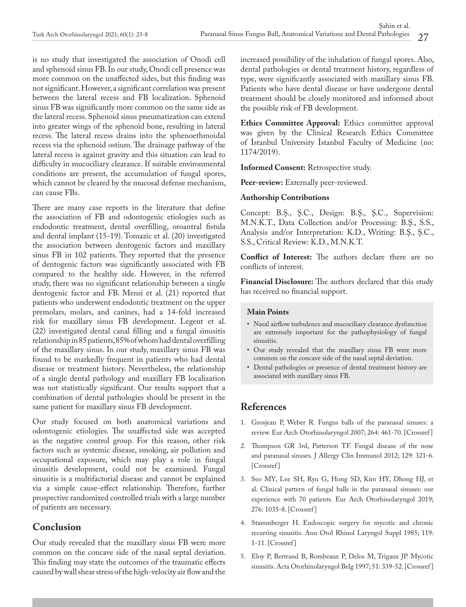is no study that investigated the association of Onodi cell and sphenoid sinus FB. In our study, Onodi cell presence was more common on the unaffected sides, but this finding was not significant. However, a significant correlation was present between the lateral recess and FB localization. Sphenoid sinus FB was significantly more common on the same side as the lateral recess. Sphenoid sinus pneumatization can extend into greater wings of the sphenoid bone, resulting in lateral recess. The lateral recess drains into the sphenoethmoidal recess via the sphenoid ostium. The drainage pathway of the lateral recess is against gravity and this situation can lead to difficulty in mucociliary clearance. If suitable environmental conditions are present, the accumulation of fungal spores, which cannot be cleared by the mucosal defense mechanism, can cause FBs.

There are many case reports in the literature that define the association of FB and odontogenic etiologies such as endodontic treatment, dental overfilling, oroantral fistula and dental implant (15-19). Tomazic et al. (20) investigated the association between dentogenic factors and maxillary sinus FB in 102 patients. They reported that the presence of dentogenic factors was significantly associated with FB compared to the healthy side. However, in the referred study, there was no significant relationship between a single dentogenic factor and FB. Mensi et al. (21) reported that patients who underwent endodontic treatment on the upper premolars, molars, and canines, had a 14-fold increased risk for maxillary sinus FB development. Legent et al. (22) investigated dental canal filling and a fungal sinusitis relationship in 85 patients, 85% of whom had dental overfilling of the maxillary sinus. In our study, maxillary sinus FB was found to be markedly frequent in patients who had dental disease or treatment history. Nevertheless, the relationship of a single dental pathology and maxillary FB localization was not statistically significant. Our results support that a combination of dental pathologies should be present in the same patient for maxillary sinus FB development.

Our study focused on both anatomical variations and odontogenic etiologies. The unaffected side was accepted as the negative control group. For this reason, other risk factors such as systemic disease, smoking, air pollution and occupational exposure, which may play a role in fungal sinusitis development, could not be examined. Fungal sinusitis is a multifactorial disease and cannot be explained via a simple cause-effect relationship. Therefore, further prospective randomized controlled trials with a large number of patients are necessary.

# **Conclusion**

Our study revealed that the maxillary sinus FB were more common on the concave side of the nasal septal deviation. This finding may state the outcomes of the traumatic effects caused by wall shear stress of the high-velocity air flow and the

increased possibility of the inhalation of fungal spores. Also, dental pathologies or dental treatment history, regardless of type, were significantly associated with maxillary sinus FB. Patients who have dental disease or have undergone dental treatment should be closely monitored and informed about the possible risk of FB development.

**Ethics Committee Approval:** Ethics committee approval was given by the Clinical Research Ethics Committee of İstanbul University İstanbul Faculty of Medicine (no: 1174/2019).

**Informed Consent:** Retrospective study.

**Peer-review:** Externally peer-reviewed.

#### **Authorship Contributions**

Concept: B.Ş., Ş.C., Design: B.Ş., Ş.C., Supervision: M.N.K.T., Data Collection and/or Processing: B.Ş., S.S., Analysis and/or Interpretation: K.D., Writing: B.Ş., Ş.C., S.S., Critical Review: K.D., M.N.K.T.

**Conflict of Interest:** The authors declare there are no conflicts of interest.

**Financial Disclosure:** The authors declared that this study has received no financial support.

### **Main Points**

- Nasal airflow turbulence and mucociliary clearance dysfunction are extremely important for the pathophysiology of fungal sinusitis.
- Our study revealed that the maxillary sinus FB were more common on the concave side of the nasal septal deviation.
- Dental pathologies or presence of dental treatment history are associated with maxillary sinus FB.

### **References**

- 1. Grosjean P, Weber R. Fungus balls of the paranasal sinuses: a review. Eur Arch Otorhinolaryngol 2007; 264: 461-70. [[Crossref \]](https://doi.org/10.1007/s00405-007-0281-5)
- 2. Thompson GR 3rd, Patterson TF. Fungal disease of the nose and paranasal sinuses. J Allergy Clin Immunol 2012; 129: 321-6. [Crossref]
- 3. Seo MY, Lee SH, Ryu G, Hong SD, Kim HY, Dhong HJ, et al. Clinical pattern of fungal balls in the paranasal sinuses: our experience with 70 patients. Eur Arch Otorhinolaryngol 2019; 276: 1035-8. [\[Crossref \]](https://doi.org/10.1007/s00405-018-5258-z)
- 4. Stammberger H. Endoscopic surgery for mycotic and chronic recurring sinusitis. Ann Otol Rhinol Laryngol Suppl 1985; 119: 1-11. [[Crossref \]](https://doi.org/10.1177/00034894850940s501)
- 5. Eloy P, Bertrand B, Rombeaux P, Delos M, Trigaux JP. Mycotic sinusitis. Acta Otorhinolaryngol Belg 1997; 51: 339-52. [Crossref]